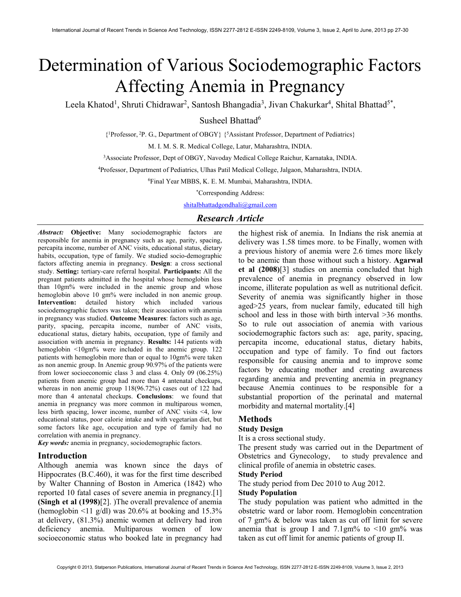# Determination of Various Sociodemographic Factors Affecting Anemia in Pregnancy

Leela Khatod<sup>1</sup>, Shruti Chidrawar<sup>2</sup>, Santosh Bhangadia<sup>3</sup>, Jivan Chakurkar<sup>4</sup>, Shital Bhattad<sup>5\*</sup>,

Susheel Bhattad<sup>6</sup>

{ <sup>1</sup>Professor,<sup>2</sup>P. G., Department of OBGY} {<sup>5</sup>Assistant Professor, Department of Pediatrics}

M. I. M. S. R. Medical College, Latur, Maharashtra, INDIA.

<sup>3</sup>Associate Professor, Dept of OBGY, Navoday Medical College Raichur, Karnataka, INDIA.

<sup>4</sup>Professor, Department of Pediatrics, Ulhas Patil Medical College, Jalgaon, Maharashtra, INDIA.

<sup>6</sup>Final Year MBBS, K. E. M. Mumbai, Maharashtra, INDIA.

\*Corresponding Address:

shitalbhattadgondhali@gmail.com

## Research Article

Abstract: Objective: Many sociodemographic factors are responsible for anemia in pregnancy such as age, parity, spacing, percapita income, number of ANC visits, educational status, dietary habits, occupation, type of family. We studied socio-demographic factors affecting anemia in pregnancy. Design: a cross sectional study. Setting: tertiary-care referral hospital. Participants: All the pregnant patients admitted in the hospital whose hemoglobin less than 10gm% were included in the anemic group and whose hemoglobin above 10 gm% were included in non anemic group. Intervention: detailed history which included various sociodemographic factors was taken; their association with anemia in pregnancy was studied. Outcome Measures: factors such as age, parity, spacing, percapita income, number of ANC visits, educational status, dietary habits, occupation, type of family and association with anemia in pregnancy. Results: 144 patients with hemoglobin <10gm% were included in the anemic group. 122 patients with hemoglobin more than or equal to 10gm% were taken as non anemic group. In Anemic group 90.97% of the patients were from lower socioeconomic class 3 and class 4. Only 09 (06.25%) patients from anemic group had more than 4 antenatal checkups, whereas in non anemic group 118(96.72%) cases out of 122 had more than 4 antenatal checkups. Conclusions: we found that anemia in pregnancy was more common in multiparous women, less birth spacing, lower income, number of ANC visits <4, low educational status, poor calorie intake and with vegetarian diet, but some factors like age, occupation and type of family had no correlation with anemia in pregnancy.

Key words: anemia in pregnancy, sociodemographic factors.

## Introduction

Although anemia was known since the days of Hippocrates (B.C.460), it was for the first time described by Walter Channing of Boston in America (1842) who reported 10 fatal cases of severe anemia in pregnancy.[1] (Singh et al (1998)[2]. )The overall prevalence of anemia (hemoglobin  $\leq 11$  g/dl) was 20.6% at booking and 15.3% at delivery, (81.3%) anemic women at delivery had iron deficiency anemia. Multiparous women of low socioeconomic status who booked late in pregnancy had

the highest risk of anemia. In Indians the risk anemia at delivery was 1.58 times more. to be Finally, women with a previous history of anemia were 2.6 times more likely to be anemic than those without such a history. Agarwal et al (2008)[3] studies on anemia concluded that high prevalence of anemia in pregnancy observed in low income, illiterate population as well as nutritional deficit. Severity of anemia was significantly higher in those aged>25 years, from nuclear family, educated till high school and less in those with birth interval >36 months. So to rule out association of anemia with various sociodemographic factors such as: age, parity, spacing, percapita income, educational status, dietary habits, occupation and type of family. To find out factors responsible for causing anemia and to improve some factors by educating mother and creating awareness regarding anemia and preventing anemia in pregnancy because Anemia continues to be responsible for a substantial proportion of the perinatal and maternal morbidity and maternal mortality.[4]

## Methods

#### Study Design

It is a cross sectional study.

The present study was carried out in the Department of Obstetrics and Gynecology, to study prevalence and clinical profile of anemia in obstetric cases.

#### Study Period

The study period from Dec 2010 to Aug 2012.

## Study Population

The study population was patient who admitted in the obstetric ward or labor room. Hemoglobin concentration of 7 gm% & below was taken as cut off limit for severe anemia that is group I and 7.1gm% to  $\leq 10$  gm% was taken as cut off limit for anemic patients of group II.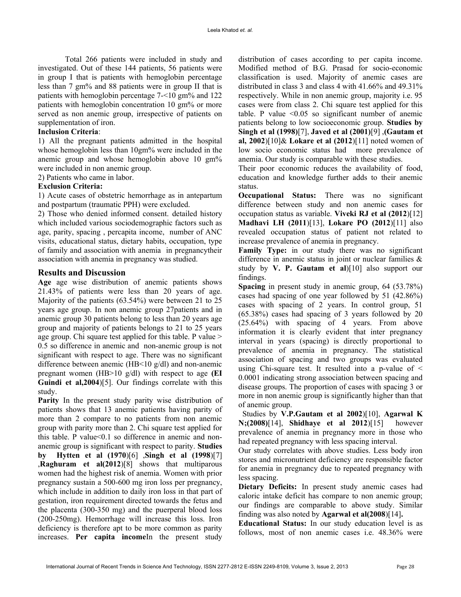Total 266 patients were included in study and investigated. Out of these 144 patients, 56 patients were in group I that is patients with hemoglobin percentage less than 7 gm% and 88 patients were in group II that is patients with hemoglobin percentage 7-<10 gm% and 122 patients with hemoglobin concentration 10 gm% or more served as non anemic group, irrespective of patients on supplementation of iron.

## Inclusion Criteria:

1) All the pregnant patients admitted in the hospital whose hemoglobin less than 10gm% were included in the anemic group and whose hemoglobin above 10 gm% were included in non anemic group.

2) Patients who came in labor.

## Exclusion Criteria:

1) Acute cases of obstetric hemorrhage as in antepartum and postpartum (traumatic PPH) were excluded.

2) Those who denied informed consent. detailed history which included various sociodemographic factors such as age, parity, spacing , percapita income, number of ANC visits, educational status, dietary habits, occupation, type of family and association with anemia in pregnancytheir association with anemia in pregnancy was studied.

## Results and Discussion

Age age wise distribution of anemic patients shows 21.43% of patients were less than 20 years of age. Majority of the patients (63.54%) were between 21 to 25 years age group. In non anemic group 27patients and in anemic group 30 patients belong to less than 20 years age group and majority of patients belongs to 21 to 25 years age group. Chi square test applied for this table. P value > 0.5 so difference in anemic and non-anemic group is not significant with respect to age. There was no significant difference between anemic (HB<10 g/dl) and non-anemic pregnant women (HB>10 g/dl) with respect to age (EI Guindi et al,2004)[5]. Our findings correlate with this study.

Parity In the present study parity wise distribution of patients shows that 13 anemic patients having parity of more than 2 compare to no patients from non anemic group with parity more than 2. Chi square test applied for this table. P value<0.1 so difference in anemic and nonanemic group is significant with respect to parity. Studies by Hytten et al (1970)[6] ,Singh et al (1998)[7] ,Raghuram et al(2012)[8] shows that multiparous women had the highest risk of anemia. Women with prior pregnancy sustain a 500-600 mg iron loss per pregnancy, which include in addition to daily iron loss in that part of gestation, iron requirement directed towards the fetus and the placenta (300-350 mg) and the puerperal blood loss (200-250mg). Hemorrhage will increase this loss. Iron deficiency is therefore apt to be more common as parity increases. Per capita income<sup>In</sup> the present study distribution of cases according to per capita income. Modified method of B.G. Prasad for socio-economic classification is used. Majority of anemic cases are distributed in class 3 and class 4 with 41.66% and 49.31% respectively. While in non anemic group, majority i.e. 95 cases were from class 2. Chi square test applied for this table. P value  $\leq 0.05$  so significant number of anemic patients belong to low socioeconomic group. Studies by Singh et al (1998)[7], Javed et al (2001)[9] ,(Gautam et al, 2002)[10]& Lokare et al (2012)[11] noted women of low socio economic status had more prevalence of anemia. Our study is comparable with these studies.

Their poor economic reduces the availability of food, education and knowledge further adds to their anemic status.

Occupational Status: There was no significant difference between study and non anemic cases for occupation status as variable. Viveki RJ et al (2012)[12] Madhavi LH (2011)[13], Lokare PO (2012)[11] also revealed occupation status of patient not related to increase prevalence of anemia in pregnancy.

Family Type: in our study there was no significant difference in anemic status in joint or nuclear families & study by V. P. Gautam et al)[10] also support our findings.

Spacing in present study in anemic group, 64 (53.78%) cases had spacing of one year followed by 51 (42.86%) cases with spacing of 2 years. In control group, 51 (65.38%) cases had spacing of 3 years followed by 20 (25.64%) with spacing of 4 years. From above information it is clearly evident that inter pregnancy interval in years (spacing) is directly proportional to prevalence of anemia in pregnancy. The statistical association of spacing and two groups was evaluated using Chi-square test. It resulted into a p-value of  $\leq$ 0.0001 indicating strong association between spacing and disease groups. The proportion of cases with spacing 3 or more in non anemic group is significantly higher than that of anemic group.

 Studies by V.P.Gautam et al 2002)[10], Agarwal K N;(2008)[14], Shidhaye et al 2012)[15] however prevalence of anemia in pregnancy more in those who had repeated pregnancy with less spacing interval.

Our study correlates with above studies. Less body iron stores and micronutrient deficiency are responsible factor for anemia in pregnancy due to repeated pregnancy with less spacing.

Dietary Deficits: In present study anemic cases had caloric intake deficit has compare to non anemic group; our findings are comparable to above study. Similar finding was also noted by Agarwal et al(2008)[14].

Educational Status: In our study education level is as follows, most of non anemic cases i.e. 48.36% were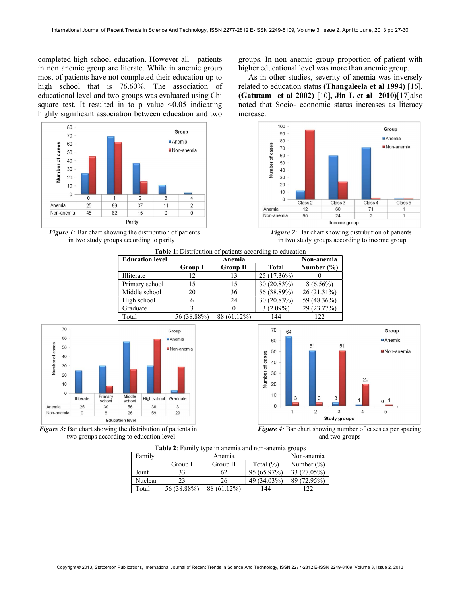completed high school education. However all patients in non anemic group are literate. While in anemic group most of patients have not completed their education up to high school that is 76.60%. The association of educational level and two groups was evaluated using Chi square test. It resulted in to p value  $\leq 0.05$  indicating highly significant association between education and two





groups. In non anemic group proportion of patient with higher educational level was more than anemic group.

 As in other studies, severity of anemia was inversely related to education status (Thangaleela et al 1994) [16], (Gatutam et al 2002) [10], Jin L et al 2010)[17]also noted that Socio- economic status increases as literacy increase.













|  |  | <b>Table 2:</b> Family type in anemia and non-anemia groups |  |
|--|--|-------------------------------------------------------------|--|
|  |  |                                                             |  |

| Family  |             | Non-anemia  |              |               |
|---------|-------------|-------------|--------------|---------------|
|         | Group I     | Group II    | Total $(\%)$ | Number $(\%)$ |
| Joint   | 33          | 62          | 95 (65.97%)  | 33 (27.05%)   |
| Nuclear | 23          | 26          | 49 (34.03%)  | 89 (72.95%)   |
| Total   | 56 (38.88%) | 88 (61.12%) | 44           | າາ            |